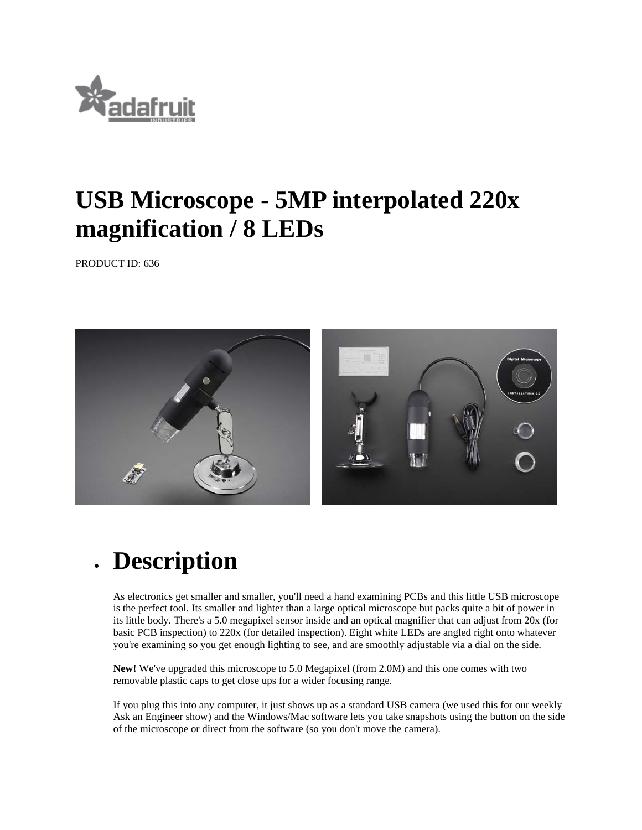

## **USB Microscope - 5MP interpolated 220x magnification / 8 LEDs**

PRODUCT ID: 636



## **Description**

As electronics get smaller and smaller, you'll need a hand examining PCBs and this little USB microscope is the perfect tool. Its smaller and lighter than a large optical microscope but packs quite a bit of power in its little body. There's a 5.0 megapixel sensor inside and an optical magnifier that can adjust from 20x (for basic PCB inspection) to 220x (for detailed inspection). Eight white LEDs are angled right onto whatever you're examining so you get enough lighting to see, and are smoothly adjustable via a dial on the side.

**New!** We've upgraded this microscope to 5.0 Megapixel (from 2.0M) and this one comes with two removable plastic caps to get close ups for a wider focusing range.

If you plug this into any computer, it just shows up as a standard USB camera (we used this for our weekly Ask an Engineer show) and the Windows/Mac software lets you take snapshots using the button on the side of the microscope or direct from the software (so you don't move the camera).